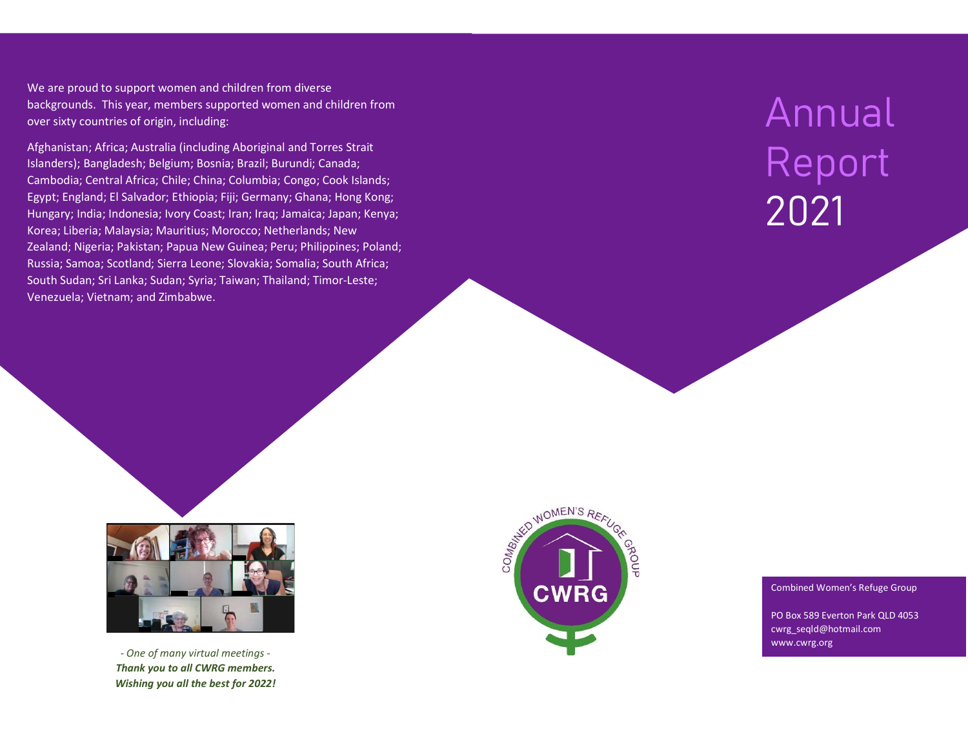We are proud to support women and children from diverse backgrounds. This year, members supported women and children from over sixty countries of origin, including:

Afghanistan; Africa; Australia (including Aboriginal and Torres Strait Islanders); Bangladesh; Belgium; Bosnia; Brazil; Burundi; Canada; Cambodia; Central Africa; Chile; China; Columbia; Congo; Cook Islands; Egypt; England; El Salvador; Ethiopia; Fiji; Germany; Ghana; Hong Kong; Hungary; India; Indonesia; Ivory Coast; Iran; Iraq; Jamaica; Japan; Kenya; Korea; Liberia; Malaysia; Mauritius; Morocco; Netherlands; New Zealand; Nigeria; Pakistan; Papua New Guinea; Peru; Philippines; Poland; Russia; Samoa; Scotland; Sierra Leone; Slovakia; Somalia; South Africa; South Sudan; Sri Lanka; Sudan; Syria; Taiwan; Thailand; Timor-Leste; Venezuela; Vietnam; and Zimbabwe.

# Annual Report 2021



- One of many virtual meetings - Thank you to all CWRG members. Wishing you all the best for 2022!



#### Combined Women's Refuge Group

PO Box 589 Everton Park QLD 4053 cwrg\_seqld@hotmail.com www.cwrg.org